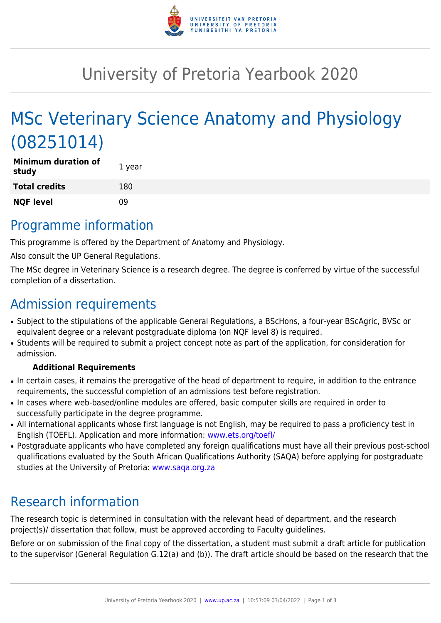

# University of Pretoria Yearbook 2020

# MSc Veterinary Science Anatomy and Physiology (08251014)

| <b>Minimum duration of</b><br>study | 1 year |
|-------------------------------------|--------|
| <b>Total credits</b>                | 180    |
| <b>NQF level</b>                    | n۹     |

### Programme information

This programme is offered by the Department of Anatomy and Physiology.

Also consult the UP General Regulations.

The MSc degree in Veterinary Science is a research degree. The degree is conferred by virtue of the successful completion of a dissertation.

## Admission requirements

- Subject to the stipulations of the applicable General Regulations, a BScHons, a four-year BScAgric, BVSc or equivalent degree or a relevant postgraduate diploma (on NQF level 8) is required.
- Students will be required to submit a project concept note as part of the application, for consideration for admission.

#### **Additional Requirements**

- In certain cases, it remains the prerogative of the head of department to require, in addition to the entrance requirements, the successful completion of an admissions test before registration.
- In cases where web-based/online modules are offered, basic computer skills are required in order to successfully participate in the degree programme.
- All international applicants whose first language is not English, may be required to pass a proficiency test in English (TOEFL). Application and more information: [www.ets.org/toefl/](http://www.ets.org/toefl/)
- Postgraduate applicants who have completed any foreign qualifications must have all their previous post-school qualifications evaluated by the South African Qualifications Authority (SAQA) before applying for postgraduate studies at the University of Pretoria: [www.saqa.org.za](http://www.saqa.org.za)

## Research information

The research topic is determined in consultation with the relevant head of department, and the research project(s)/ dissertation that follow, must be approved according to Faculty guidelines.

Before or on submission of the final copy of the dissertation, a student must submit a draft article for publication to the supervisor (General Regulation G.12(a) and (b)). The draft article should be based on the research that the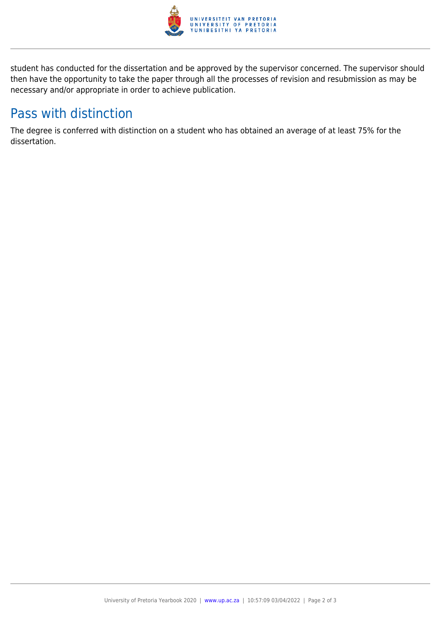

student has conducted for the dissertation and be approved by the supervisor concerned. The supervisor should then have the opportunity to take the paper through all the processes of revision and resubmission as may be necessary and/or appropriate in order to achieve publication.

## Pass with distinction

The degree is conferred with distinction on a student who has obtained an average of at least 75% for the dissertation.